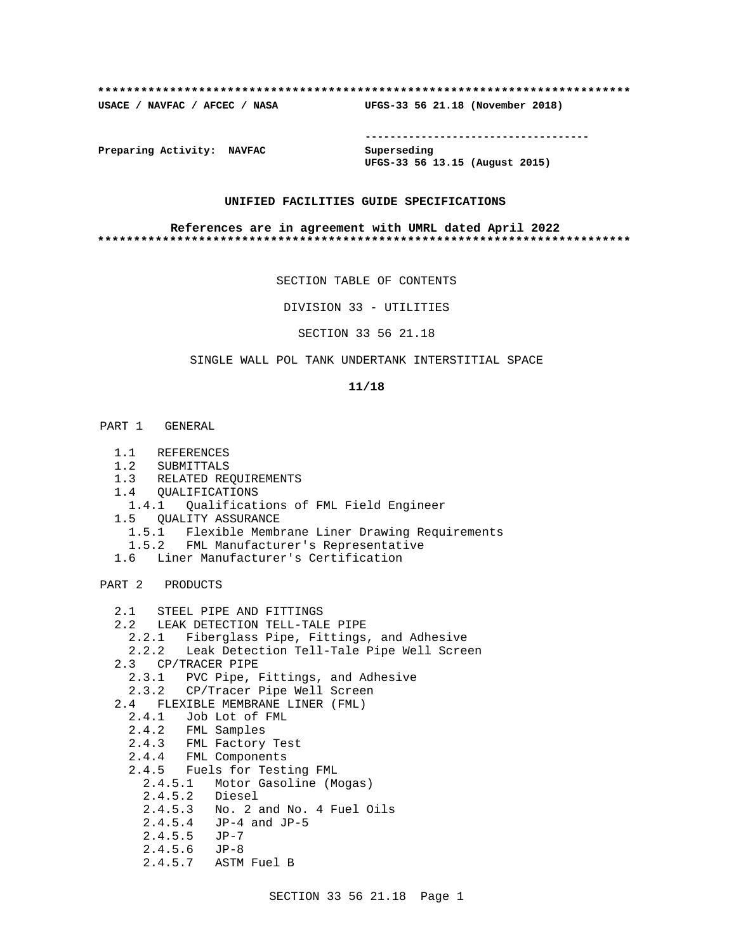## **\*\*\*\*\*\*\*\*\*\*\*\*\*\*\*\*\*\*\*\*\*\*\*\*\*\*\*\*\*\*\*\*\*\*\*\*\*\*\*\*\*\*\*\*\*\*\*\*\*\*\*\*\*\*\*\*\*\*\*\*\*\*\*\*\*\*\*\*\*\*\*\*\*\***

**USACE / NAVFAC / AFCEC / NASA UFGS-33 56 21.18 (November 2018)**

**------------------------------------**

**Preparing Activity: NAVFAC Superseding**

**UFGS-33 56 13.15 (August 2015)**

# **UNIFIED FACILITIES GUIDE SPECIFICATIONS**

## **References are in agreement with UMRL dated April 2022 \*\*\*\*\*\*\*\*\*\*\*\*\*\*\*\*\*\*\*\*\*\*\*\*\*\*\*\*\*\*\*\*\*\*\*\*\*\*\*\*\*\*\*\*\*\*\*\*\*\*\*\*\*\*\*\*\*\*\*\*\*\*\*\*\*\*\*\*\*\*\*\*\*\***

SECTION TABLE OF CONTENTS

DIVISION 33 - UTILITIES

SECTION 33 56 21.18

# SINGLE WALL POL TANK UNDERTANK INTERSTITIAL SPACE

## **11/18**

## PART 1 GENERAL

- 1.1 REFERENCES
- 1.2 SUBMITTALS
- 1.3 RELATED REQUIREMENTS
- 1.4 QUALIFICATIONS
- 1.4.1 Qualifications of FML Field Engineer
- 1.5 QUALITY ASSURANCE
- 1.5.1 Flexible Membrane Liner Drawing Requirements
- 1.5.2 FML Manufacturer's Representative
- 1.6 Liner Manufacturer's Certification

## PART 2 PRODUCTS

- 2.1 STEEL PIPE AND FITTINGS
- 2.2 LEAK DETECTION TELL-TALE PIPE
	- 2.2.1 Fiberglass Pipe, Fittings, and Adhesive
	- 2.2.2 Leak Detection Tell-Tale Pipe Well Screen
- 2.3 CP/TRACER PIPE
	- 2.3.1 PVC Pipe, Fittings, and Adhesive
- 2.3.2 CP/Tracer Pipe Well Screen
- 2.4 FLEXIBLE MEMBRANE LINER (FML)
- 2.4.1 Job Lot of FML
- 2.4.2 FML Samples
	- 2.4.3 FML Factory Test
	- 2.4.4 FML Components
	- 2.4.5 Fuels for Testing FML
	- 2.4.5.1 Motor Gasoline (Mogas)
		- 2.4.5.2 Diesel
	- 2.4.5.3 No. 2 and No. 4 Fuel Oils
	- 2.4.5.4 JP-4 and JP-5
	- 2.4.5.5 JP-7
	- 2.4.5.6 JP-8
		- 2.4.5.7 ASTM Fuel B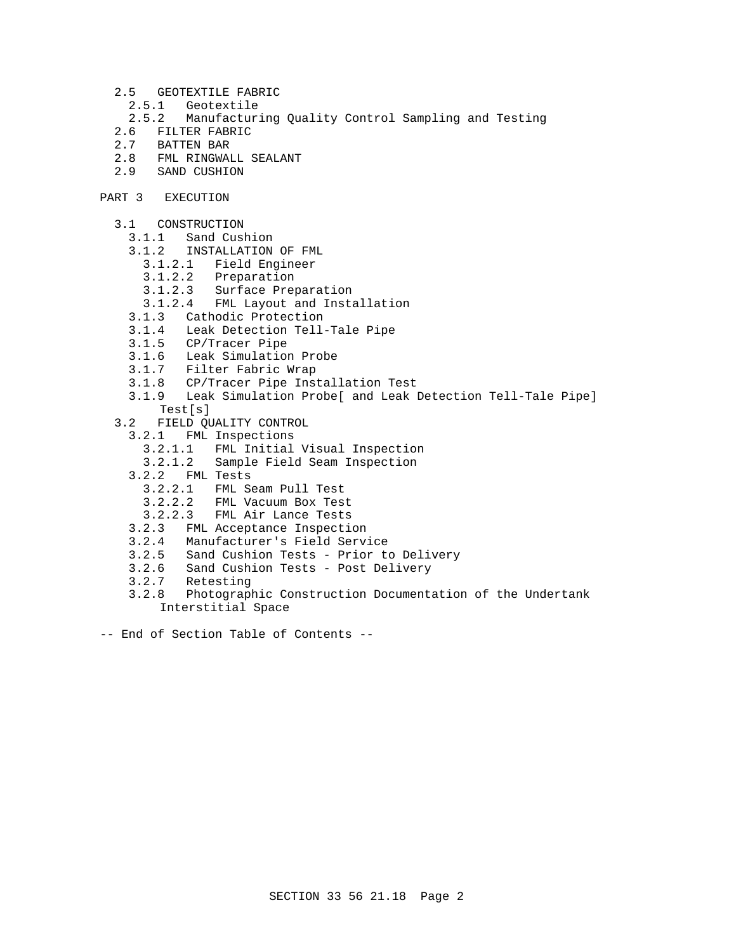- 2.5 GEOTEXTILE FABRIC
- 2.5.1 Geotextile<br>2.5.2 Manufactur:
- 2.5.2 Manufacturing Quality Control Sampling and Testing
- 2.6 FILTER FABRIC<br>2.7 BATTEN BAR
- 2.7 BATTEN BAR
- 2.8 FML RINGWALL SEALANT
- 2.9 SAND CUSHION
- PART 3 EXECUTION
	- 3.1 CONSTRUCTION
		- 3.1.1 Sand Cushion
		- 3.1.2 INSTALLATION OF FML
			- 3.1.2.1 Field Engineer
			- Preparation
			- 3.1.2.3 Surface Preparation
			- 3.1.2.4 FML Layout and Installation
		- 3.1.3 Cathodic Protection
		- 3.1.4 Leak Detection Tell-Tale Pipe
		- 3.1.5 CP/Tracer Pipe
		- 3.1.6 Leak Simulation Probe
		- 3.1.7 Filter Fabric Wrap
		- 3.1.8 CP/Tracer Pipe Installation Test
		- 3.1.9 Leak Simulation Probe[ and Leak Detection Tell-Tale Pipe] Test[s]
	- 3.2 FIELD QUALITY CONTROL
		- 3.2.1 FML Inspections
			- 3.2.1.1 FML Initial Visual Inspection
			- 3.2.1.2 Sample Field Seam Inspection
		- 3.2.2 FML Tests
			- 3.2.2.1 FML Seam Pull Test
			- 3.2.2.2 FML Vacuum Box Test
			- 3.2.2.3 FML Air Lance Tests
		- 3.2.3 FML Acceptance Inspection
		- 3.2.4 Manufacturer's Field Service
		- 3.2.5 Sand Cushion Tests Prior to Delivery
		- 3.2.6 Sand Cushion Tests Post Delivery
		- 3.2.7 Retesting
		- 3.2.8 Photographic Construction Documentation of the Undertank Interstitial Space
- -- End of Section Table of Contents --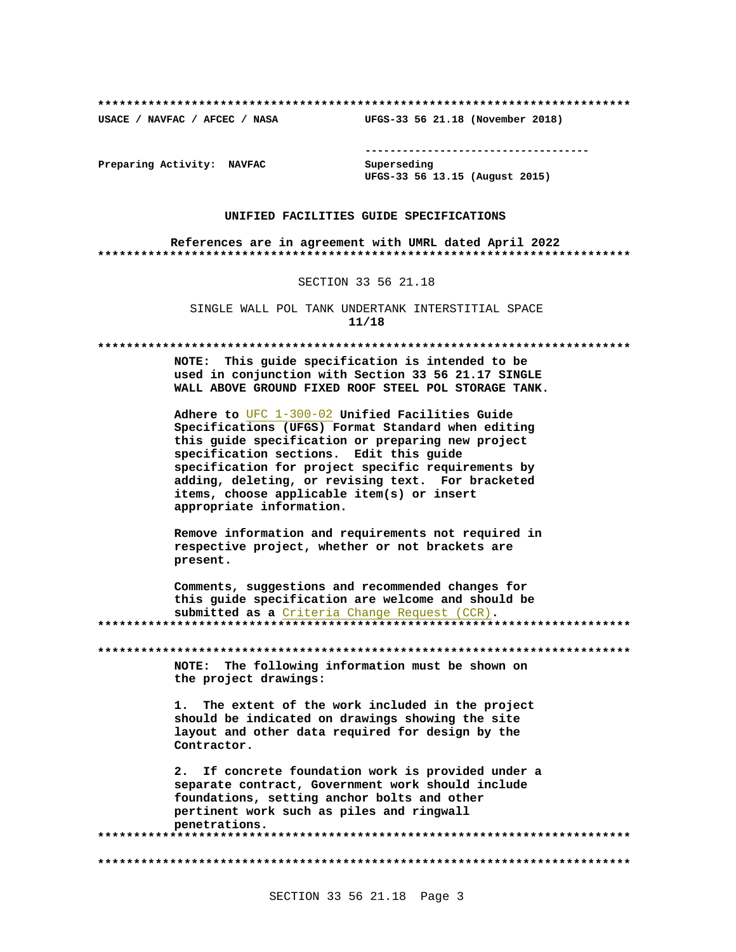USACE / NAVFAC / AFCEC / NASA

--------------------------------------

Preparing Activity: NAVFAC

Superseding UFGS-33 56 13.15 (August 2015)

UFGS-33 56 21.18 (November 2018)

# UNIFIED FACILITIES GUIDE SPECIFICATIONS

References are in agreement with UMRL dated April 2022 

SECTION 33 56 21.18

SINGLE WALL POL TANK UNDERTANK INTERSTITIAL SPACE  $11/18$ 

### 

NOTE: This quide specification is intended to be used in conjunction with Section 33 56 21.17 SINGLE WALL ABOVE GROUND FIXED ROOF STEEL POL STORAGE TANK.

Adhere to UFC 1-300-02 Unified Facilities Guide Specifications (UFGS) Format Standard when editing this quide specification or preparing new project specification sections. Edit this guide specification for project specific requirements by adding, deleting, or revising text. For bracketed items, choose applicable item(s) or insert appropriate information.

Remove information and requirements not required in respective project, whether or not brackets are present.

Comments, suggestions and recommended changes for this quide specification are welcome and should be submitted as a Criteria Change Request (CCR). 

NOTE: The following information must be shown on the project drawings:

1. The extent of the work included in the project should be indicated on drawings showing the site layout and other data required for design by the Contractor.

2. If concrete foundation work is provided under a separate contract, Government work should include foundations, setting anchor bolts and other pertinent work such as piles and ringwall penetrations.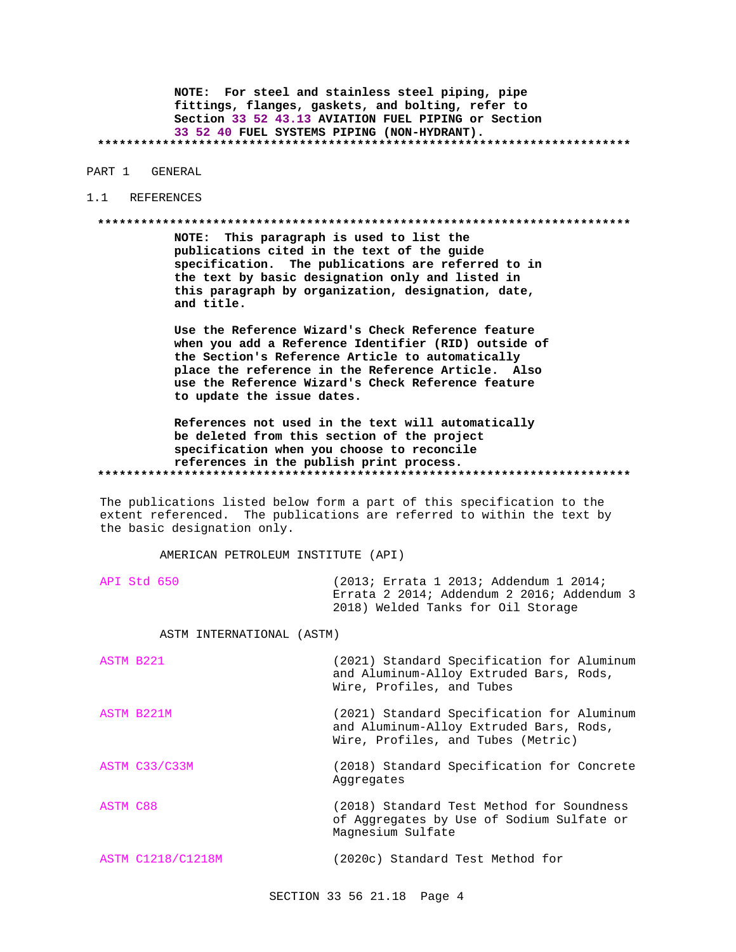NOTE: For steel and stainless steel piping, pipe fittings, flanges, gaskets, and bolting, refer to Section 33 52 43.13 AVIATION FUEL PIPING or Section 33 52 40 FUEL SYSTEMS PIPING (NON-HYDRANT). 

PART 1 GENERAL

## 1.1 REFERENCES

# 

NOTE: This paragraph is used to list the publications cited in the text of the guide specification. The publications are referred to in the text by basic designation only and listed in this paragraph by organization, designation, date, and title.

Use the Reference Wizard's Check Reference feature when you add a Reference Identifier (RID) outside of the Section's Reference Article to automatically place the reference in the Reference Article. Also use the Reference Wizard's Check Reference feature to update the issue dates.

References not used in the text will automatically be deleted from this section of the project specification when you choose to reconcile references in the publish print process. 

The publications listed below form a part of this specification to the extent referenced. The publications are referred to within the text by the basic designation only.

AMERICAN PETROLEUM INSTITUTE (API)

| API Std 650 |                           | (2013; Errata 1 2013; Addendum 1 2014;<br>Errata 2 2014; Addendum 2 2016; Addendum 3<br>2018) Welded Tanks for Oil Storage |
|-------------|---------------------------|----------------------------------------------------------------------------------------------------------------------------|
|             | ASTM INTERNATIONAL (ASTM) |                                                                                                                            |

| ASTM B221                | (2021) Standard Specification for Aluminum<br>and Aluminum-Alloy Extruded Bars, Rods,<br>Wire, Profiles, and Tubes          |
|--------------------------|-----------------------------------------------------------------------------------------------------------------------------|
| ASTM B221M               | (2021) Standard Specification for Aluminum<br>and Aluminum-Alloy Extruded Bars, Rods,<br>Wire, Profiles, and Tubes (Metric) |
| ASTM C33/C33M            | (2018) Standard Specification for Concrete<br>Aggregates                                                                    |
| <b>ASTM C88</b>          | (2018) Standard Test Method for Soundness<br>of Aggregates by Use of Sodium Sulfate or<br>Magnesium Sulfate                 |
| <b>ASTM C1218/C1218M</b> | (2020c) Standard Test Method for                                                                                            |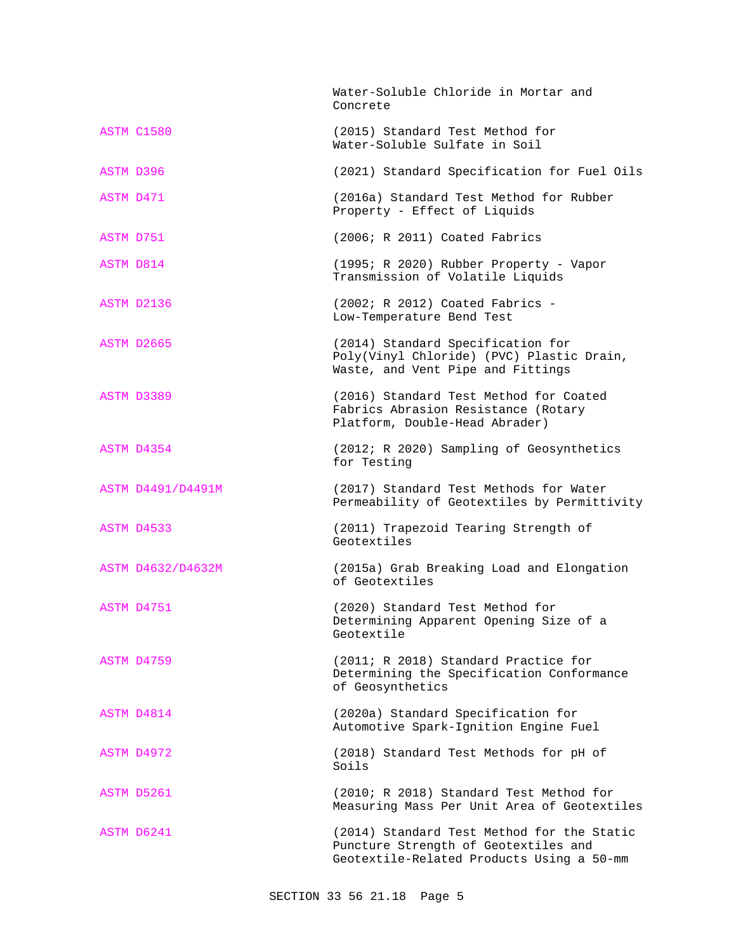|           |                   | Water-Soluble Chloride in Mortar and<br>Concrete                                                                                |
|-----------|-------------------|---------------------------------------------------------------------------------------------------------------------------------|
|           | ASTM C1580        | (2015) Standard Test Method for<br>Water-Soluble Sulfate in Soil                                                                |
| ASTM D396 |                   | (2021) Standard Specification for Fuel Oils                                                                                     |
| ASTM D471 |                   | (2016a) Standard Test Method for Rubber<br>Property - Effect of Liquids                                                         |
| ASTM D751 |                   | (2006; R 2011) Coated Fabrics                                                                                                   |
| ASTM D814 |                   | (1995; R 2020) Rubber Property - Vapor<br>Transmission of Volatile Liquids                                                      |
|           | ASTM D2136        | $(2002; R 2012)$ Coated Fabrics -<br>Low-Temperature Bend Test                                                                  |
|           | ASTM D2665        | (2014) Standard Specification for<br>Poly(Vinyl Chloride) (PVC) Plastic Drain,<br>Waste, and Vent Pipe and Fittings             |
|           | ASTM D3389        | (2016) Standard Test Method for Coated<br>Fabrics Abrasion Resistance (Rotary<br>Platform, Double-Head Abrader)                 |
|           | ASTM D4354        | (2012; R 2020) Sampling of Geosynthetics<br>for Testing                                                                         |
|           | ASTM D4491/D4491M | (2017) Standard Test Methods for Water<br>Permeability of Geotextiles by Permittivity                                           |
|           | ASTM D4533        | (2011) Trapezoid Tearing Strength of<br>Geotextiles                                                                             |
|           | ASTM D4632/D4632M | (2015a) Grab Breaking Load and Elongation<br>of Geotextiles                                                                     |
|           | ASTM D4751        | (2020) Standard Test Method for<br>Determining Apparent Opening Size of a<br>Geotextile                                         |
|           | ASTM D4759        | (2011; R 2018) Standard Practice for<br>Determining the Specification Conformance<br>of Geosynthetics                           |
|           | ASTM D4814        | (2020a) Standard Specification for<br>Automotive Spark-Ignition Engine Fuel                                                     |
|           | ASTM D4972        | (2018) Standard Test Methods for pH of<br>Soils                                                                                 |
|           | ASTM D5261        | (2010; R 2018) Standard Test Method for<br>Measuring Mass Per Unit Area of Geotextiles                                          |
|           | ASTM D6241        | (2014) Standard Test Method for the Static<br>Puncture Strength of Geotextiles and<br>Geotextile-Related Products Using a 50-mm |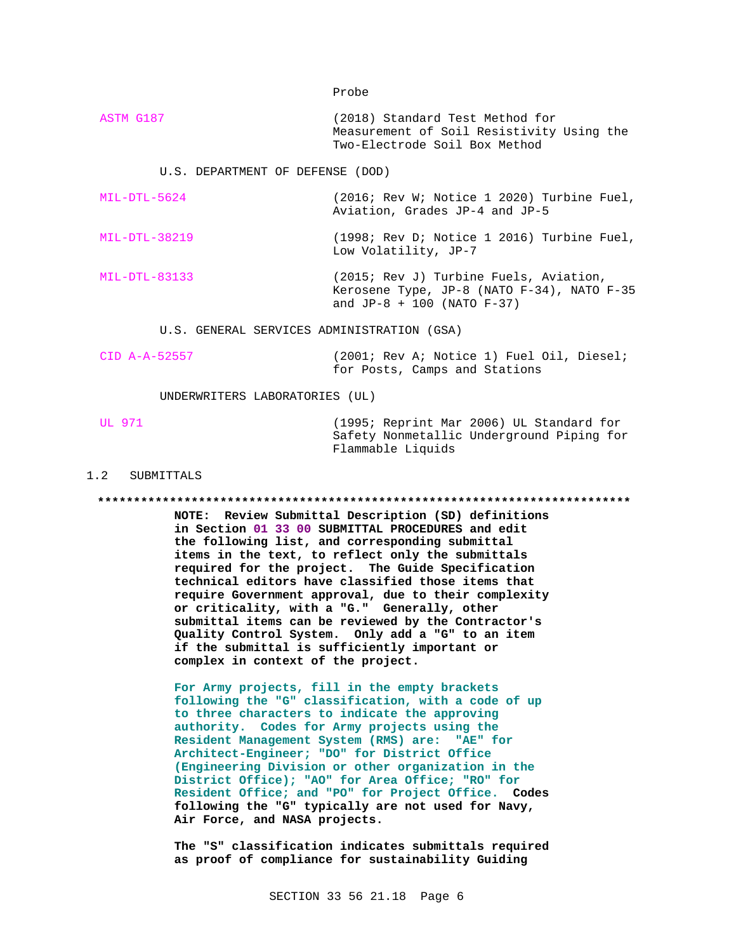Probe

ASTM G187 (2018) Standard Test Method for Measurement of Soil Resistivity Using the Two-Electrode Soil Box Method

U.S. DEPARTMENT OF DEFENSE (DOD)

- MIL-DTL-5624 (2016; Rev W; Notice 1 2020) Turbine Fuel, Aviation, Grades JP-4 and JP-5
- MIL-DTL-38219 (1998; Rev D; Notice 1 2016) Turbine Fuel, Low Volatility, JP-7

MIL-DTL-83133 (2015; Rev J) Turbine Fuels, Aviation, Kerosene Type, JP-8 (NATO F-34), NATO F-35 and  $JP-8 + 100$  (NATO  $F-37$ )

U.S. GENERAL SERVICES ADMINISTRATION (GSA)

CID A-A-52557 (2001; Rev A; Notice 1) Fuel Oil, Diesel; for Posts, Camps and Stations

UNDERWRITERS LABORATORIES (UL)

UL 971 (1995; Reprint Mar 2006) UL Standard for Safety Nonmetallic Underground Piping for Flammable Liquids

## 1.2 SUBMITTALS

**\*\*\*\*\*\*\*\*\*\*\*\*\*\*\*\*\*\*\*\*\*\*\*\*\*\*\*\*\*\*\*\*\*\*\*\*\*\*\*\*\*\*\*\*\*\*\*\*\*\*\*\*\*\*\*\*\*\*\*\*\*\*\*\*\*\*\*\*\*\*\*\*\*\***

**NOTE: Review Submittal Description (SD) definitions in Section 01 33 00 SUBMITTAL PROCEDURES and edit the following list, and corresponding submittal items in the text, to reflect only the submittals required for the project. The Guide Specification technical editors have classified those items that require Government approval, due to their complexity or criticality, with a "G." Generally, other submittal items can be reviewed by the Contractor's Quality Control System. Only add a "G" to an item if the submittal is sufficiently important or complex in context of the project.**

**For Army projects, fill in the empty brackets following the "G" classification, with a code of up to three characters to indicate the approving authority. Codes for Army projects using the Resident Management System (RMS) are: "AE" for Architect-Engineer; "DO" for District Office (Engineering Division or other organization in the District Office); "AO" for Area Office; "RO" for Resident Office; and "PO" for Project Office. Codes following the "G" typically are not used for Navy, Air Force, and NASA projects.**

**The "S" classification indicates submittals required as proof of compliance for sustainability Guiding**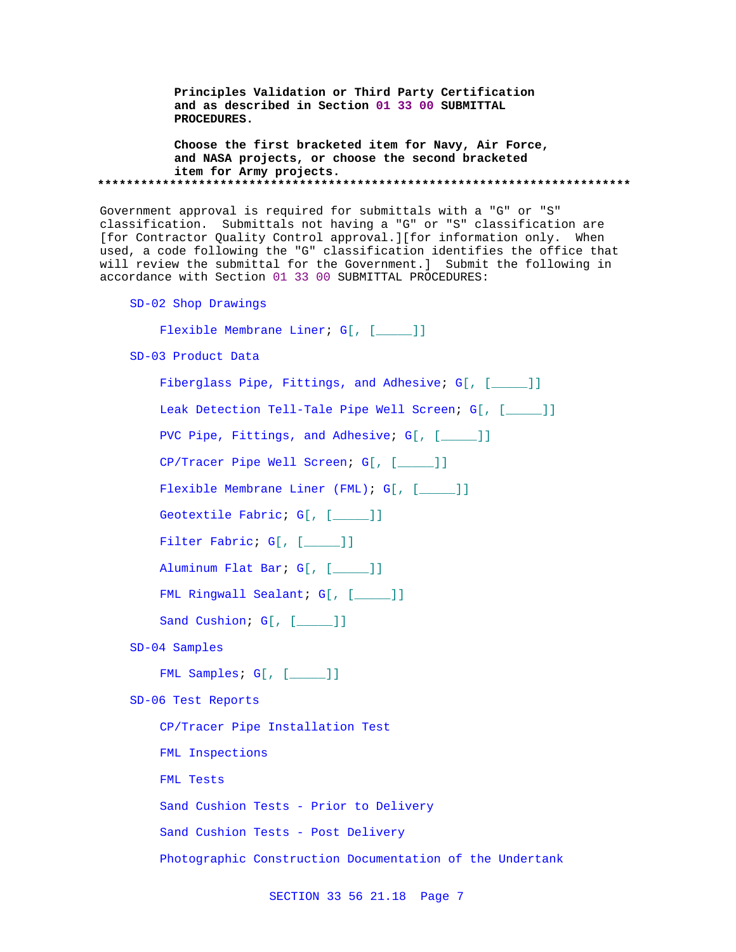**Principles Validation or Third Party Certification and as described in Section 01 33 00 SUBMITTAL PROCEDURES.**

**Choose the first bracketed item for Navy, Air Force, and NASA projects, or choose the second bracketed item for Army projects. \*\*\*\*\*\*\*\*\*\*\*\*\*\*\*\*\*\*\*\*\*\*\*\*\*\*\*\*\*\*\*\*\*\*\*\*\*\*\*\*\*\*\*\*\*\*\*\*\*\*\*\*\*\*\*\*\*\*\*\*\*\*\*\*\*\*\*\*\*\*\*\*\*\***

Government approval is required for submittals with a "G" or "S" classification. Submittals not having a "G" or "S" classification are [for Contractor Quality Control approval.][for information only. When used, a code following the "G" classification identifies the office that will review the submittal for the Government.] Submit the following in accordance with Section 01 33 00 SUBMITTAL PROCEDURES:

SD-02 Shop Drawings

Flexible Membrane Liner; G[, [\_\_\_\_]]

SD-03 Product Data

Fiberglass Pipe, Fittings, and Adhesive; G[, [\_\_\_\_\_]]

Leak Detection Tell-Tale Pipe Well Screen; G[, [\_\_\_\_]]

PVC Pipe, Fittings, and Adhesive; G[, [\_\_\_\_\_]]

CP/Tracer Pipe Well Screen; G[, [\_\_\_\_\_]]

Flexible Membrane Liner (FML); G[, [ ]]

Geotextile Fabric; G[, [\_\_\_\_]]

Filter Fabric; G[, [\_\_\_\_]]

```
Aluminum Flat Bar; G[, [_____]]
```

```
FML Ringwall Sealant; G[, [_____]]
```

```
Sand Cushion; G[, [____]]
```
SD-04 Samples

FML Samples; G[, [\_\_\_\_]]

SD-06 Test Reports

CP/Tracer Pipe Installation Test FML Inspections FML Tests Sand Cushion Tests - Prior to Delivery Sand Cushion Tests - Post Delivery Photographic Construction Documentation of the Undertank

SECTION 33 56 21.18 Page 7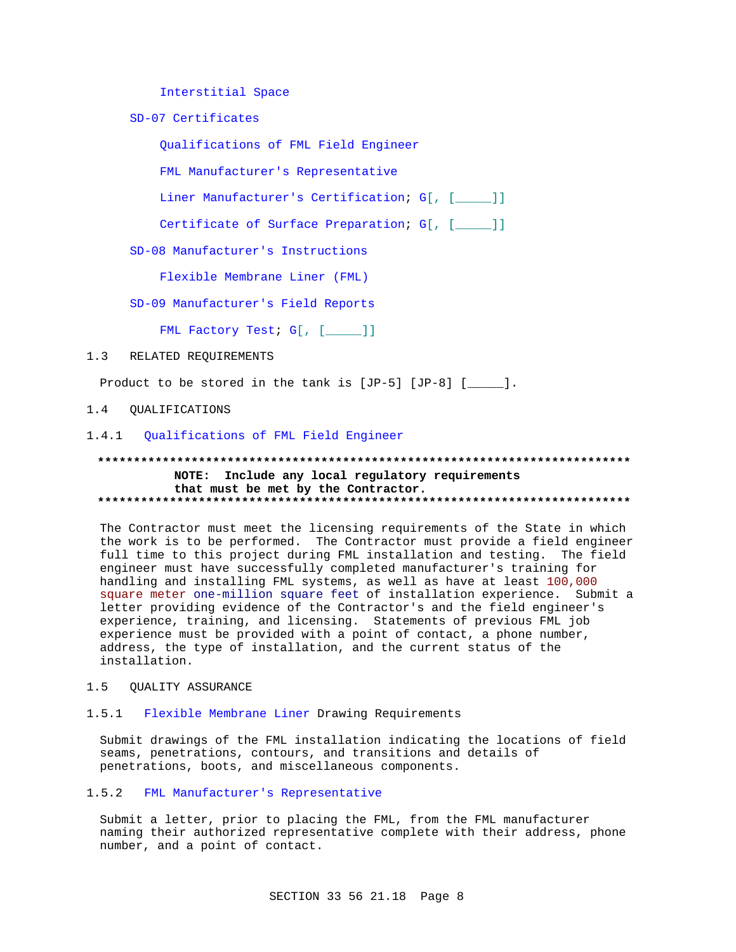Interstitial Space

SD-07 Certificates

Qualifications of FML Field Engineer

FML Manufacturer's Representative

Liner Manufacturer's Certification; G[, [\_\_\_\_]]

Certificate of Surface Preparation; G[, [\_\_\_\_]]

SD-08 Manufacturer's Instructions

Flexible Membrane Liner (FML)

SD-09 Manufacturer's Field Reports

FML Factory Test; G[, [\_\_\_\_]]

### $1.3$ RELATED REQUIREMENTS

Product to be stored in the tank is  $[JP-5]$   $[JP-8]$   $[\underline{\hspace{1cm}}]$ .

 $1\quad 4$ **OUALIFICATIONS** 

# 1.4.1 Qualifications of FML Field Engineer

# NOTE: Include any local regulatory requirements that must be met by the Contractor.

The Contractor must meet the licensing requirements of the State in which the work is to be performed. The Contractor must provide a field engineer full time to this project during FML installation and testing. The field engineer must have successfully completed manufacturer's training for handling and installing FML systems, as well as have at least 100,000 square meter one-million square feet of installation experience. Submit a letter providing evidence of the Contractor's and the field engineer's experience, training, and licensing. Statements of previous FML job experience must be provided with a point of contact, a phone number, address, the type of installation, and the current status of the installation.

### $1.5$ QUALITY ASSURANCE

### Flexible Membrane Liner Drawing Requirements  $1.5.1$

Submit drawings of the FML installation indicating the locations of field seams, penetrations, contours, and transitions and details of penetrations, boots, and miscellaneous components.

# 1.5.2 FML Manufacturer's Representative

Submit a letter, prior to placing the FML, from the FML manufacturer naming their authorized representative complete with their address, phone number, and a point of contact.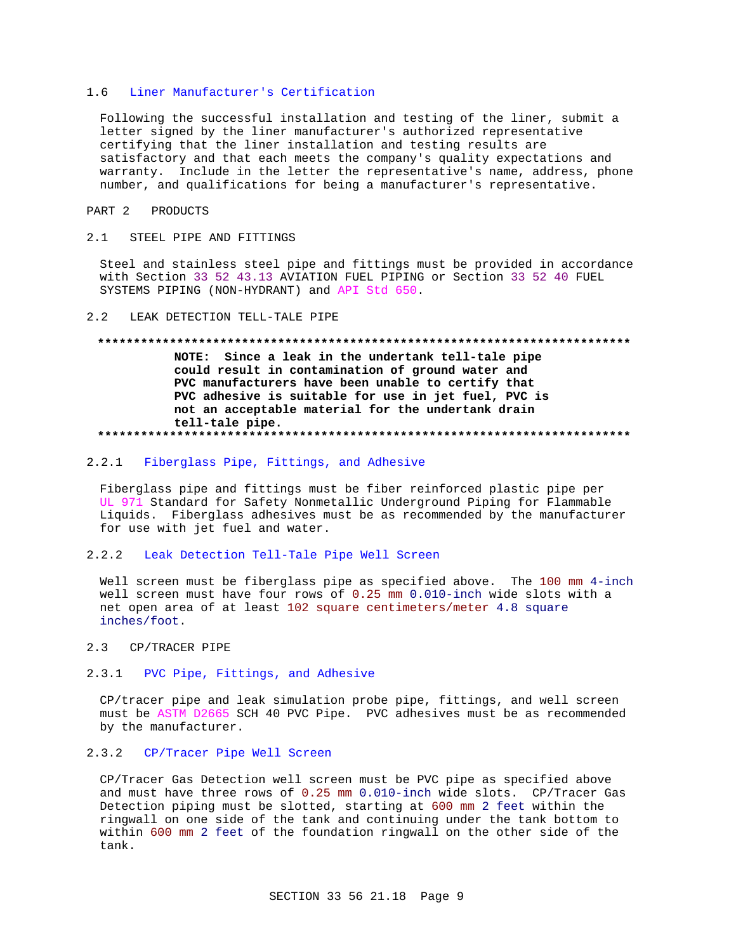### Liner Manufacturer's Certification  $1<sub>6</sub>$

Following the successful installation and testing of the liner, submit a letter signed by the liner manufacturer's authorized representative certifying that the liner installation and testing results are satisfactory and that each meets the company's quality expectations and warranty. Include in the letter the representative's name, address, phone number, and qualifications for being a manufacturer's representative.

# PART 2 PRODUCTS

### $2.1$ STEEL PIPE AND FITTINGS

Steel and stainless steel pipe and fittings must be provided in accordance with Section 33 52 43.13 AVIATION FUEL PIPING or Section 33 52 40 FUEL SYSTEMS PIPING (NON-HYDRANT) and API Std 650.

### LEAK DETECTION TELL-TALE PIPE  $2.2$

# 

NOTE: Since a leak in the undertank tell-tale pipe could result in contamination of ground water and PVC manufacturers have been unable to certify that PVC adhesive is suitable for use in jet fuel, PVC is not an acceptable material for the undertank drain tell-tale pipe. 

### Fiberglass Pipe, Fittings, and Adhesive  $2.2.1$

Fiberglass pipe and fittings must be fiber reinforced plastic pipe per UL 971 Standard for Safety Nonmetallic Underground Piping for Flammable Liquids. Fiberglass adhesives must be as recommended by the manufacturer for use with jet fuel and water.

### $2.2.2$ Leak Detection Tell-Tale Pipe Well Screen

Well screen must be fiberglass pipe as specified above. The 100 mm 4-inch well screen must have four rows of 0.25 mm 0.010-inch wide slots with a net open area of at least 102 square centimeters/meter 4.8 square inches/foot.

#### $2.3$ CP/TRACER PIPE

#### $2.3.1$ PVC Pipe, Fittings, and Adhesive

CP/tracer pipe and leak simulation probe pipe, fittings, and well screen must be ASTM D2665 SCH 40 PVC Pipe. PVC adhesives must be as recommended by the manufacturer.

# 2.3.2 CP/Tracer Pipe Well Screen

CP/Tracer Gas Detection well screen must be PVC pipe as specified above and must have three rows of 0.25 mm 0.010-inch wide slots. CP/Tracer Gas Detection piping must be slotted, starting at 600 mm 2 feet within the ringwall on one side of the tank and continuing under the tank bottom to within 600 mm 2 feet of the foundation ringwall on the other side of the tank.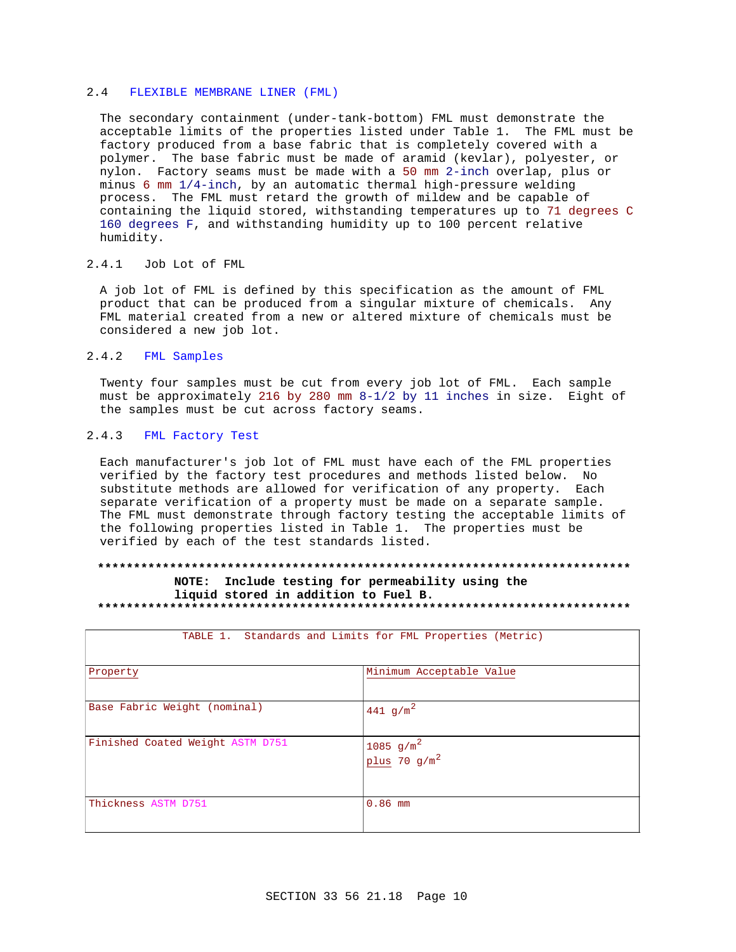### $2.4$ FLEXIBLE MEMBRANE LINER (FML)

The secondary containment (under-tank-bottom) FML must demonstrate the acceptable limits of the properties listed under Table 1. The FML must be factory produced from a base fabric that is completely covered with a polymer. The base fabric must be made of aramid (kevlar), polyester, or nylon. Factory seams must be made with a 50 mm 2-inch overlap, plus or minus 6 mm 1/4-inch, by an automatic thermal high-pressure welding process. The FML must retard the growth of mildew and be capable of containing the liquid stored, withstanding temperatures up to 71 degrees C 160 degrees F, and withstanding humidity up to 100 percent relative humidity.

# 2.4.1 Job Lot of FML

A job lot of FML is defined by this specification as the amount of FML product that can be produced from a singular mixture of chemicals. Any FML material created from a new or altered mixture of chemicals must be considered a new job lot.

### $2.4.2$ FML Samples

Twenty four samples must be cut from every job lot of FML. Each sample must be approximately 216 by 280 mm 8-1/2 by 11 inches in size. Eight of the samples must be cut across factory seams.

### $2.4.3$ FML Factory Test

Each manufacturer's job lot of FML must have each of the FML properties verified by the factory test procedures and methods listed below. No substitute methods are allowed for verification of any property. Each separate verification of a property must be made on a separate sample. The FML must demonstrate through factory testing the acceptable limits of the following properties listed in Table 1. The properties must be verified by each of the test standards listed.

# NOTE: Include testing for permeability using the liquid stored in addition to Fuel B.

| Standards and Limits for FML Properties (Metric)<br>TABLE 1. |                                 |  |  |
|--------------------------------------------------------------|---------------------------------|--|--|
| Property                                                     | Minimum Acceptable Value        |  |  |
| Base Fabric Weight (nominal)                                 | 441 $g/m^2$                     |  |  |
| Finished Coated Weight ASTM D751                             | 1085 $g/m^2$<br>plus $70 g/m^2$ |  |  |
| Thickness ASTM D751                                          | $0.86$ mm                       |  |  |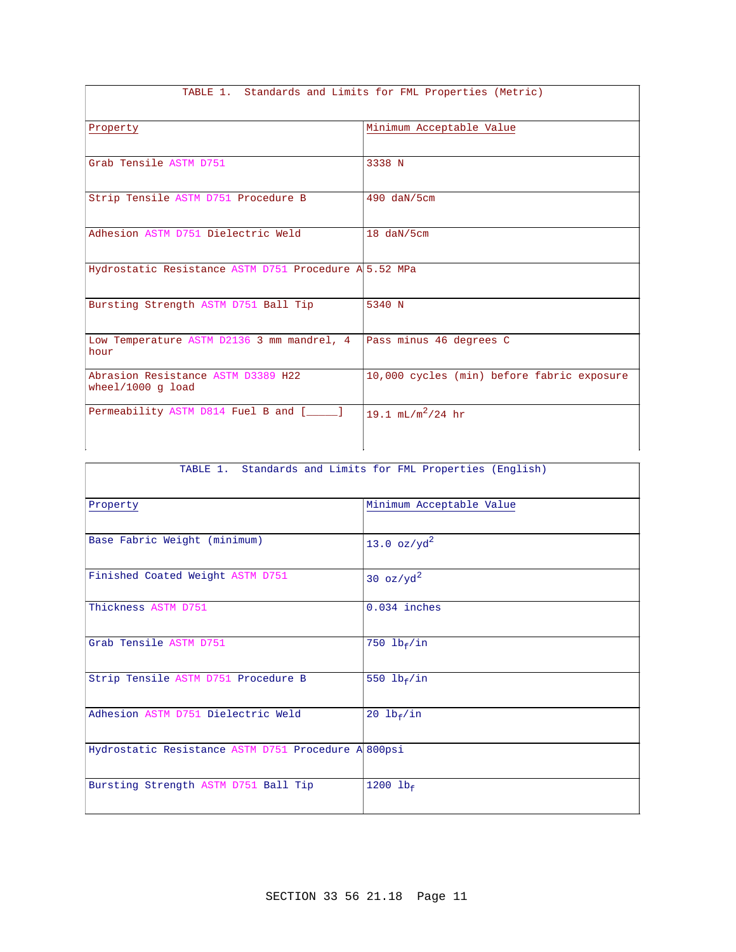| TABLE 1. Standards and Limits for FML Properties (Metric) |                                            |  |  |
|-----------------------------------------------------------|--------------------------------------------|--|--|
| Property                                                  | Minimum Acceptable Value                   |  |  |
| Grab Tensile ASTM D751                                    | 3338 N                                     |  |  |
| Strip Tensile ASTM D751 Procedure B                       | 490 daN/5cm                                |  |  |
| Adhesion ASTM D751 Dielectric Weld                        | 18 daN/5cm                                 |  |  |
| Hydrostatic Resistance ASTM D751 Procedure A 5.52 MPa     |                                            |  |  |
| Bursting Strength ASTM D751 Ball Tip                      | 5340 N                                     |  |  |
| Low Temperature ASTM D2136 3 mm mandrel, 4<br>hour        | Pass minus 46 degrees C                    |  |  |
| Abrasion Resistance ASTM D3389 H22<br>wheel/1000 $q$ load | 10,000 cycles (min) before fabric exposure |  |  |
| Permeability ASTM D814 Fuel B and [                       | 19.1 $mL/m^2/24$ hr                        |  |  |

| TABLE 1. Standards and Limits for FML Properties (English) |                          |  |  |
|------------------------------------------------------------|--------------------------|--|--|
| Property                                                   | Minimum Acceptable Value |  |  |
| Base Fabric Weight (minimum)                               | 13.0 $oz/yd^2$           |  |  |
| Finished Coated Weight ASTM D751                           | 30 $oz/yd^2$             |  |  |
| Thickness ASTM D751                                        | $0.034$ inches           |  |  |
| Grab Tensile ASTM D751                                     | 750 $lb_f/in$            |  |  |
| Strip Tensile ASTM D751 Procedure B                        | 550 $lb_f/in$            |  |  |
| Adhesion ASTM D751 Dielectric Weld                         | 20 $lb_f/in$             |  |  |
| Hydrostatic Resistance ASTM D751 Procedure A 800psi        |                          |  |  |
| Bursting Strength ASTM D751 Ball Tip                       | 1200 $1b_f$              |  |  |

# TABLE 1. Standards and Limits for FML Properties (Metric)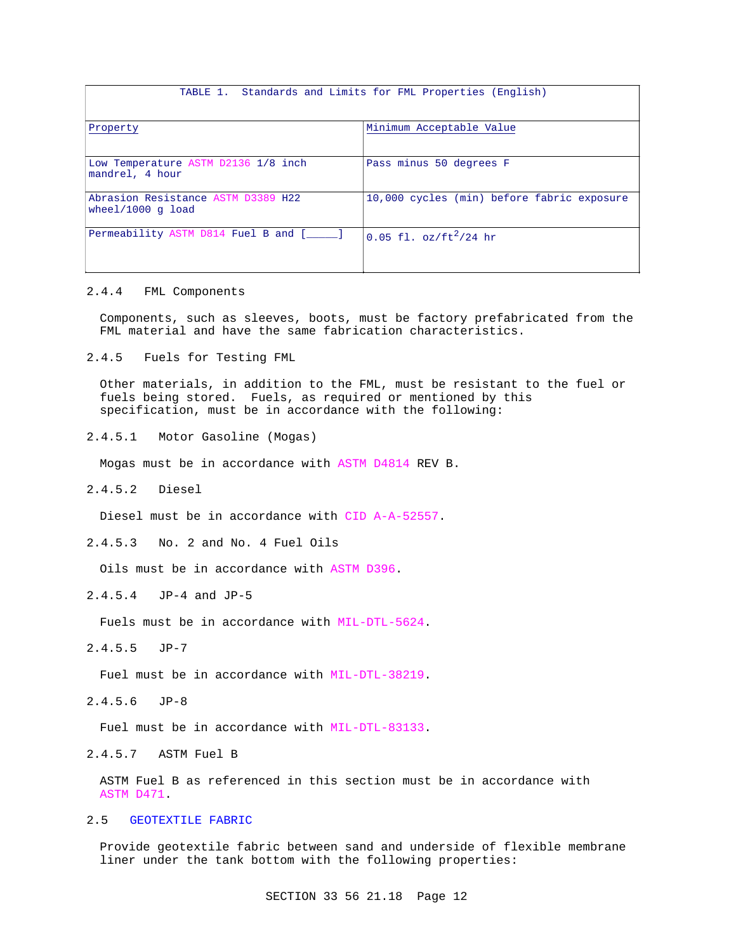## TABLE 1. Standards and Limits for FML Properties (English)

| Property                                                  | Minimum Acceptable Value                   |
|-----------------------------------------------------------|--------------------------------------------|
|                                                           |                                            |
| Low Temperature ASTM D2136 1/8 inch<br>mandrel, 4 hour    | Pass minus 50 degrees F                    |
|                                                           |                                            |
| Abrasion Resistance ASTM D3389 H22<br>wheel/1000 $q$ load | 10,000 cycles (min) before fabric exposure |
| Permeability ASTM D814 Fuel B and [                       | 0.05 fl. $oz/ft^2/24$ hr                   |

# 2.4.4 FML Components

Components, such as sleeves, boots, must be factory prefabricated from the FML material and have the same fabrication characteristics.

2.4.5 Fuels for Testing FML

Other materials, in addition to the FML, must be resistant to the fuel or fuels being stored. Fuels, as required or mentioned by this specification, must be in accordance with the following:

2.4.5.1 Motor Gasoline (Mogas)

Mogas must be in accordance with ASTM D4814 REV B.

2.4.5.2 Diesel

Diesel must be in accordance with CID A-A-52557.

2.4.5.3 No. 2 and No. 4 Fuel Oils

Oils must be in accordance with ASTM D396.

2.4.5.4 JP-4 and JP-5

Fuels must be in accordance with MIL-DTL-5624.

2.4.5.5 JP-7

Fuel must be in accordance with MIL-DTL-38219.

2.4.5.6 JP-8

Fuel must be in accordance with MIL-DTL-83133.

2.4.5.7 ASTM Fuel B

ASTM Fuel B as referenced in this section must be in accordance with ASTM D471.

# 2.5 GEOTEXTILE FABRIC

Provide geotextile fabric between sand and underside of flexible membrane liner under the tank bottom with the following properties: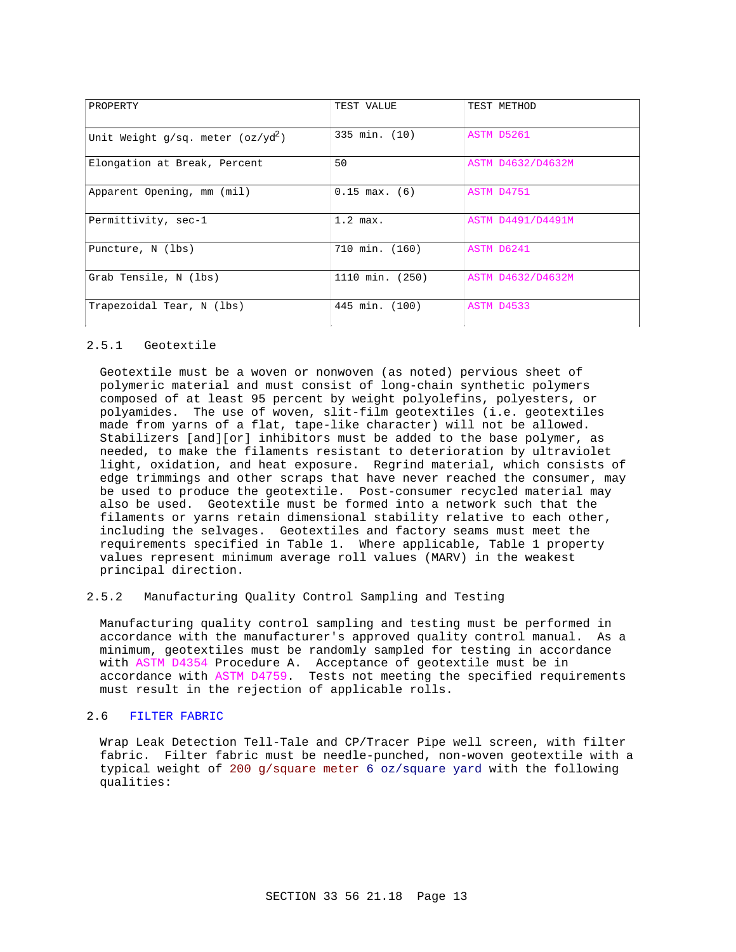| PROPERTY                            | TEST VALUE        | TEST METHOD              |
|-------------------------------------|-------------------|--------------------------|
| Unit Weight g/sq. meter $(oz/yd^2)$ | 335 min. (10)     | ASTM D5261               |
| Elongation at Break, Percent        | 50                | ASTM D4632/D4632M        |
| Apparent Opening, mm (mil)          | $0.15$ max. $(6)$ | ASTM D4751               |
| Permittivity, sec-1                 | $1.2$ max.        | <b>ASTM D4491/D4491M</b> |
| Puncture, N (lbs)                   | 710 min. (160)    | ASTM D6241               |
| Grab Tensile, N (lbs)               | 1110 min. (250)   | ASTM D4632/D4632M        |
| Trapezoidal Tear, N (lbs)           | 445 min. (100)    | ASTM D4533               |

# 2.5.1 Geotextile

Geotextile must be a woven or nonwoven (as noted) pervious sheet of polymeric material and must consist of long-chain synthetic polymers composed of at least 95 percent by weight polyolefins, polyesters, or polyamides. The use of woven, slit-film geotextiles (i.e. geotextiles made from yarns of a flat, tape-like character) will not be allowed. Stabilizers [and][or] inhibitors must be added to the base polymer, as needed, to make the filaments resistant to deterioration by ultraviolet light, oxidation, and heat exposure. Regrind material, which consists of edge trimmings and other scraps that have never reached the consumer, may be used to produce the geotextile. Post-consumer recycled material may also be used. Geotextile must be formed into a network such that the filaments or yarns retain dimensional stability relative to each other, including the selvages. Geotextiles and factory seams must meet the requirements specified in Table 1. Where applicable, Table 1 property values represent minimum average roll values (MARV) in the weakest principal direction.

# 2.5.2 Manufacturing Quality Control Sampling and Testing

Manufacturing quality control sampling and testing must be performed in accordance with the manufacturer's approved quality control manual. As a minimum, geotextiles must be randomly sampled for testing in accordance with ASTM D4354 Procedure A. Acceptance of geotextile must be in accordance with ASTM D4759. Tests not meeting the specified requirements must result in the rejection of applicable rolls.

# 2.6 FILTER FABRIC

Wrap Leak Detection Tell-Tale and CP/Tracer Pipe well screen, with filter fabric. Filter fabric must be needle-punched, non-woven geotextile with a typical weight of 200 g/square meter 6 oz/square yard with the following qualities: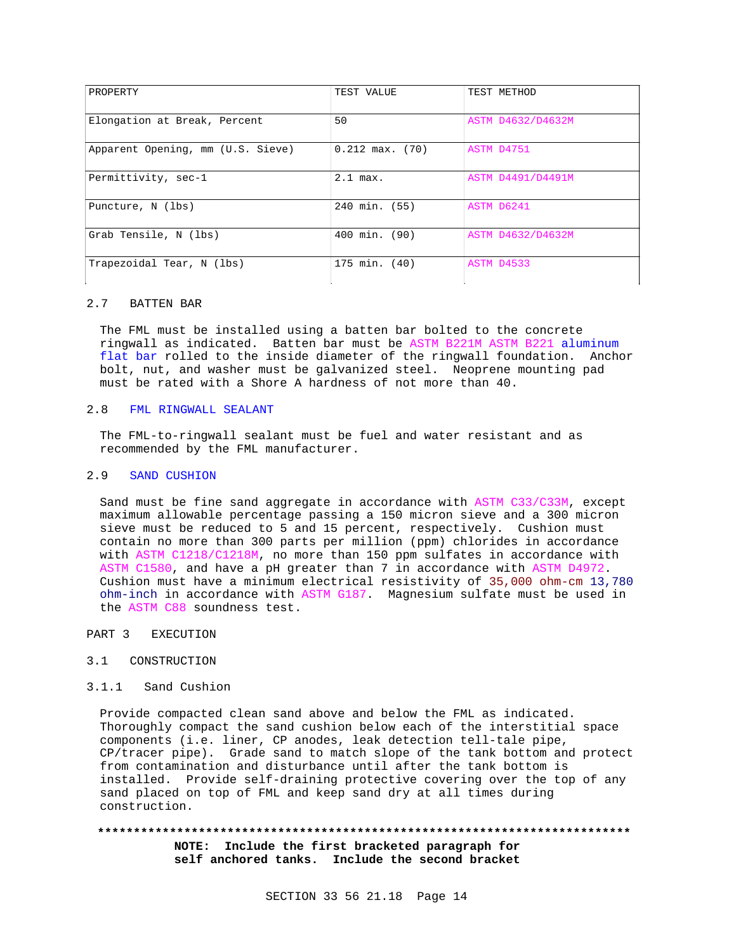| PROPERTY                          | TEST VALUE          | TEST METHOD              |
|-----------------------------------|---------------------|--------------------------|
| Elongation at Break, Percent      | 50                  | ASTM D4632/D4632M        |
| Apparent Opening, mm (U.S. Sieve) | $0.212$ max. $(70)$ | ASTM D4751               |
| Permittivity, sec-1               | $2.1$ max.          | ASTM D4491/D4491M        |
| Puncture, N (lbs)                 | 240 min. (55)       | ASTM D6241               |
| Grab Tensile, N (lbs)             | 400 min. (90)       | <b>ASTM D4632/D4632M</b> |
| Trapezoidal Tear, N (lbs)         | 175 min. (40)       | ASTM D4533               |

# 2.7 BATTEN BAR

The FML must be installed using a batten bar bolted to the concrete ringwall as indicated. Batten bar must be ASTM B221M ASTM B221 aluminum flat bar rolled to the inside diameter of the ringwall foundation. Anchor bolt, nut, and washer must be galvanized steel. Neoprene mounting pad must be rated with a Shore A hardness of not more than 40.

# 2.8 FML RINGWALL SEALANT

The FML-to-ringwall sealant must be fuel and water resistant and as recommended by the FML manufacturer.

# 2.9 SAND CUSHION

Sand must be fine sand aggregate in accordance with ASTM C33/C33M, except maximum allowable percentage passing a 150 micron sieve and a 300 micron sieve must be reduced to 5 and 15 percent, respectively. Cushion must contain no more than 300 parts per million (ppm) chlorides in accordance with ASTM C1218/C1218M, no more than 150 ppm sulfates in accordance with ASTM C1580, and have a pH greater than 7 in accordance with ASTM D4972. Cushion must have a minimum electrical resistivity of 35,000 ohm-cm 13,780 ohm-inch in accordance with ASTM G187. Magnesium sulfate must be used in the ASTM C88 soundness test.

PART 3 EXECUTION

# 3.1 CONSTRUCTION

# 3.1.1 Sand Cushion

Provide compacted clean sand above and below the FML as indicated. Thoroughly compact the sand cushion below each of the interstitial space components (i.e. liner, CP anodes, leak detection tell-tale pipe, CP/tracer pipe). Grade sand to match slope of the tank bottom and protect from contamination and disturbance until after the tank bottom is installed. Provide self-draining protective covering over the top of any sand placed on top of FML and keep sand dry at all times during construction.

# **\*\*\*\*\*\*\*\*\*\*\*\*\*\*\*\*\*\*\*\*\*\*\*\*\*\*\*\*\*\*\*\*\*\*\*\*\*\*\*\*\*\*\*\*\*\*\*\*\*\*\*\*\*\*\*\*\*\*\*\*\*\*\*\*\*\*\*\*\*\*\*\*\*\***

**NOTE: Include the first bracketed paragraph for self anchored tanks. Include the second bracket**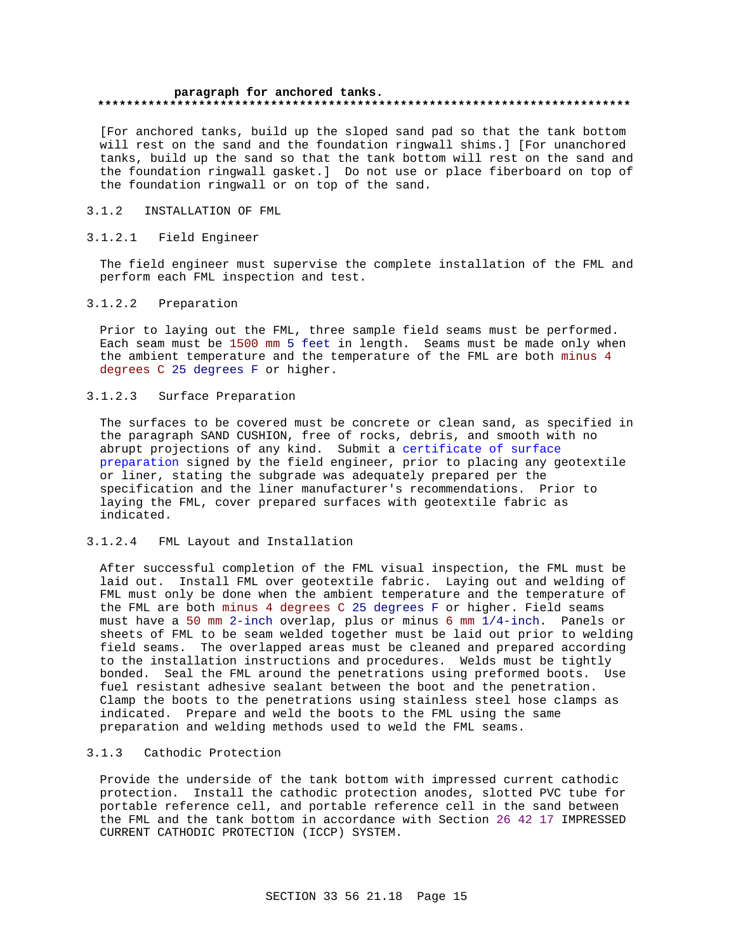## **paragraph for anchored tanks. \*\*\*\*\*\*\*\*\*\*\*\*\*\*\*\*\*\*\*\*\*\*\*\*\*\*\*\*\*\*\*\*\*\*\*\*\*\*\*\*\*\*\*\*\*\*\*\*\*\*\*\*\*\*\*\*\*\*\*\*\*\*\*\*\*\*\*\*\*\*\*\*\*\***

[For anchored tanks, build up the sloped sand pad so that the tank bottom will rest on the sand and the foundation ringwall shims.] [For unanchored tanks, build up the sand so that the tank bottom will rest on the sand and the foundation ringwall gasket.] Do not use or place fiberboard on top of the foundation ringwall or on top of the sand.

# 3.1.2 INSTALLATION OF FML

# 3.1.2.1 Field Engineer

The field engineer must supervise the complete installation of the FML and perform each FML inspection and test.

# 3.1.2.2 Preparation

Prior to laying out the FML, three sample field seams must be performed. Each seam must be 1500 mm 5 feet in length. Seams must be made only when the ambient temperature and the temperature of the FML are both minus 4 degrees C 25 degrees F or higher.

# 3.1.2.3 Surface Preparation

The surfaces to be covered must be concrete or clean sand, as specified in the paragraph SAND CUSHION, free of rocks, debris, and smooth with no abrupt projections of any kind. Submit a certificate of surface preparation signed by the field engineer, prior to placing any geotextile or liner, stating the subgrade was adequately prepared per the specification and the liner manufacturer's recommendations. Prior to laying the FML, cover prepared surfaces with geotextile fabric as indicated.

## 3.1.2.4 FML Layout and Installation

After successful completion of the FML visual inspection, the FML must be laid out. Install FML over geotextile fabric. Laying out and welding of FML must only be done when the ambient temperature and the temperature of the FML are both minus 4 degrees C 25 degrees F or higher. Field seams must have a 50 mm 2-inch overlap, plus or minus 6 mm 1/4-inch. Panels or sheets of FML to be seam welded together must be laid out prior to welding field seams. The overlapped areas must be cleaned and prepared according to the installation instructions and procedures. Welds must be tightly bonded. Seal the FML around the penetrations using preformed boots. Use fuel resistant adhesive sealant between the boot and the penetration. Clamp the boots to the penetrations using stainless steel hose clamps as indicated. Prepare and weld the boots to the FML using the same preparation and welding methods used to weld the FML seams.

# 3.1.3 Cathodic Protection

Provide the underside of the tank bottom with impressed current cathodic protection. Install the cathodic protection anodes, slotted PVC tube for portable reference cell, and portable reference cell in the sand between the FML and the tank bottom in accordance with Section 26 42 17 IMPRESSED CURRENT CATHODIC PROTECTION (ICCP) SYSTEM.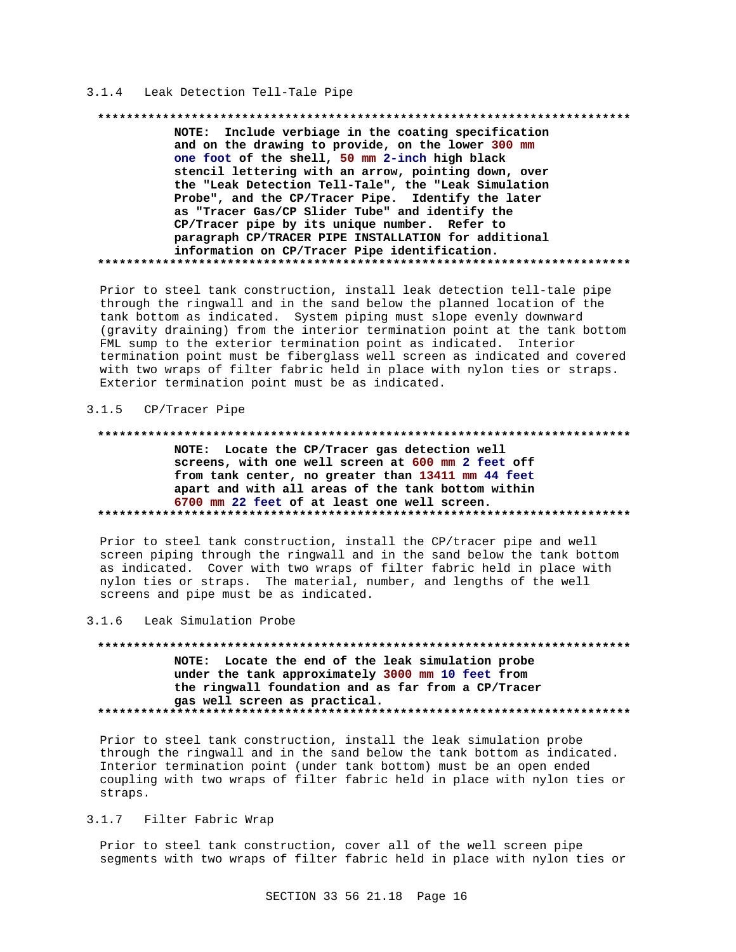# 3.1.4 Leak Detection Tell-Tale Pipe

### 

NOTE: Include verbiage in the coating specification and on the drawing to provide, on the lower 300 mm one foot of the shell, 50 mm 2-inch high black stencil lettering with an arrow, pointing down, over the "Leak Detection Tell-Tale", the "Leak Simulation Probe", and the CP/Tracer Pipe. Identify the later as "Tracer Gas/CP Slider Tube" and identify the CP/Tracer pipe by its unique number. Refer to paragraph CP/TRACER PIPE INSTALLATION for additional information on CP/Tracer Pipe identification. 

Prior to steel tank construction, install leak detection tell-tale pipe through the ringwall and in the sand below the planned location of the tank bottom as indicated. System piping must slope evenly downward (gravity draining) from the interior termination point at the tank bottom FML sump to the exterior termination point as indicated. Interior termination point must be fiberglass well screen as indicated and covered with two wraps of filter fabric held in place with nylon ties or straps. Exterior termination point must be as indicated.

#### $3.1.5$ CP/Tracer Pipe

### 

NOTE: Locate the CP/Tracer gas detection well screens, with one well screen at 600 mm 2 feet off from tank center, no greater than 13411 mm 44 feet apart and with all areas of the tank bottom within 6700 mm 22 feet of at least one well screen. 

Prior to steel tank construction, install the CP/tracer pipe and well screen piping through the ringwall and in the sand below the tank bottom as indicated. Cover with two wraps of filter fabric held in place with nylon ties or straps. The material, number, and lengths of the well screens and pipe must be as indicated.

#### $3.1.6$ Leak Simulation Probe

NOTE: Locate the end of the leak simulation probe under the tank approximately 3000 mm 10 feet from the ringwall foundation and as far from a CP/Tracer gas well screen as practical. 

Prior to steel tank construction, install the leak simulation probe through the ringwall and in the sand below the tank bottom as indicated. Interior termination point (under tank bottom) must be an open ended coupling with two wraps of filter fabric held in place with nylon ties or straps.

### $3.1.7$ Filter Fabric Wrap

Prior to steel tank construction, cover all of the well screen pipe segments with two wraps of filter fabric held in place with nylon ties or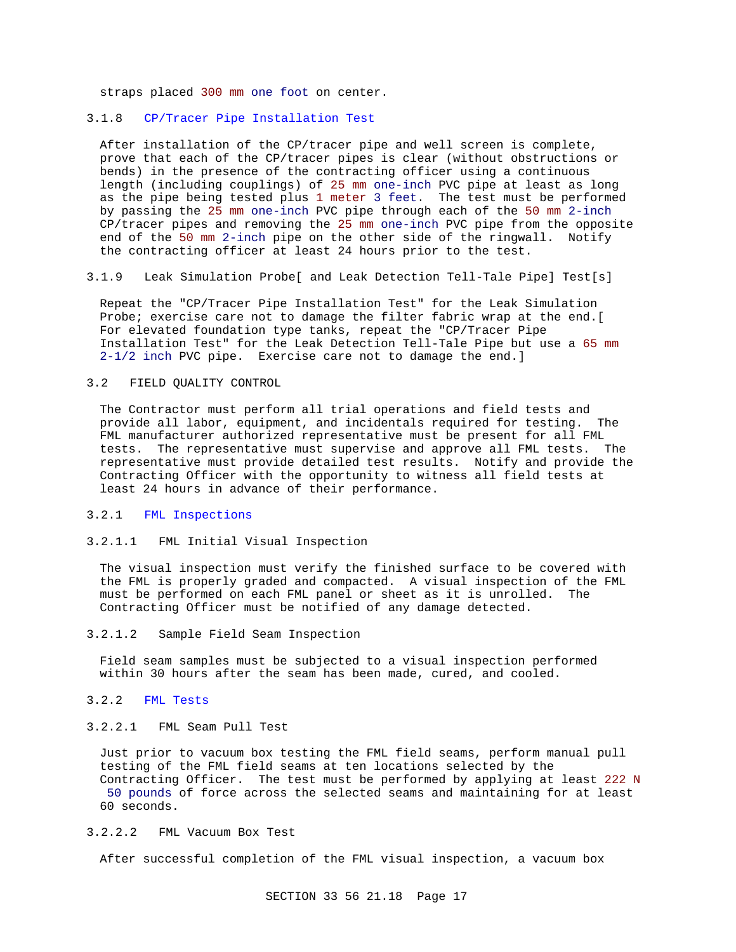straps placed 300 mm one foot on center.

# 3.1.8 CP/Tracer Pipe Installation Test

After installation of the CP/tracer pipe and well screen is complete, prove that each of the CP/tracer pipes is clear (without obstructions or bends) in the presence of the contracting officer using a continuous length (including couplings) of 25 mm one-inch PVC pipe at least as long as the pipe being tested plus 1 meter 3 feet. The test must be performed by passing the 25 mm one-inch PVC pipe through each of the 50 mm 2-inch CP/tracer pipes and removing the 25 mm one-inch PVC pipe from the opposite end of the 50 mm 2-inch pipe on the other side of the ringwall. Notify the contracting officer at least 24 hours prior to the test.

3.1.9 Leak Simulation Probe[ and Leak Detection Tell-Tale Pipe] Test[s]

Repeat the "CP/Tracer Pipe Installation Test" for the Leak Simulation Probe; exercise care not to damage the filter fabric wrap at the end.[ For elevated foundation type tanks, repeat the "CP/Tracer Pipe Installation Test" for the Leak Detection Tell-Tale Pipe but use a 65 mm 2-1/2 inch PVC pipe. Exercise care not to damage the end.]

## 3.2 FIELD QUALITY CONTROL

The Contractor must perform all trial operations and field tests and provide all labor, equipment, and incidentals required for testing. The FML manufacturer authorized representative must be present for all FML tests. The representative must supervise and approve all FML tests. The representative must provide detailed test results. Notify and provide the Contracting Officer with the opportunity to witness all field tests at least 24 hours in advance of their performance.

# 3.2.1 FML Inspections

## 3.2.1.1 FML Initial Visual Inspection

The visual inspection must verify the finished surface to be covered with the FML is properly graded and compacted. A visual inspection of the FML must be performed on each FML panel or sheet as it is unrolled. The Contracting Officer must be notified of any damage detected.

3.2.1.2 Sample Field Seam Inspection

Field seam samples must be subjected to a visual inspection performed within 30 hours after the seam has been made, cured, and cooled.

3.2.2 FML Tests

# 3.2.2.1 FML Seam Pull Test

Just prior to vacuum box testing the FML field seams, perform manual pull testing of the FML field seams at ten locations selected by the Contracting Officer. The test must be performed by applying at least 222 N 50 pounds of force across the selected seams and maintaining for at least 60 seconds.

# 3.2.2.2 FML Vacuum Box Test

After successful completion of the FML visual inspection, a vacuum box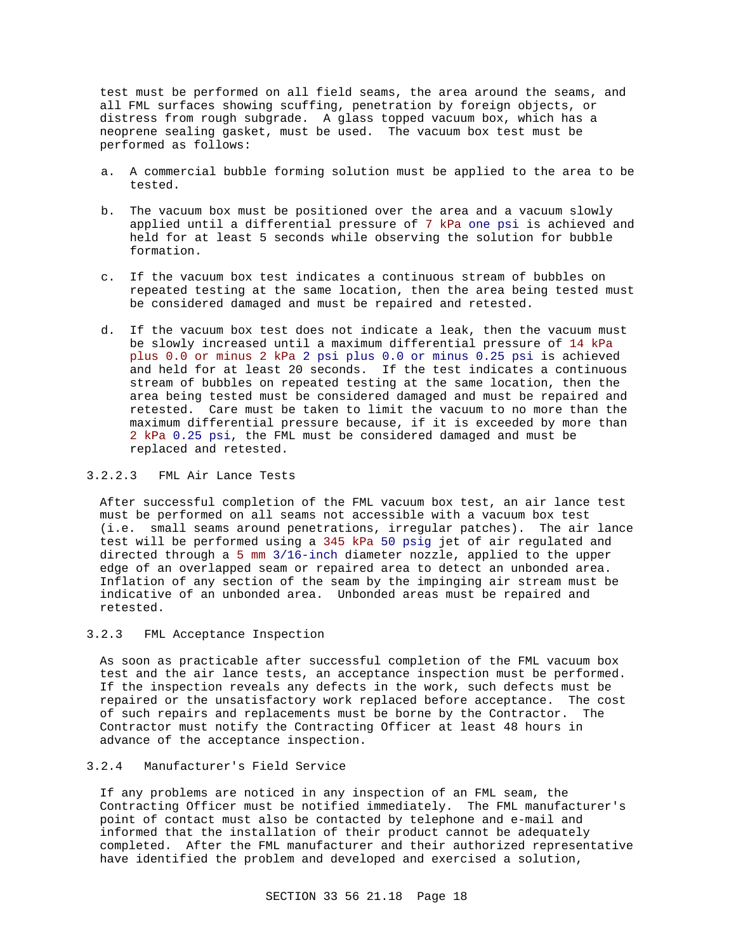test must be performed on all field seams, the area around the seams, and all FML surfaces showing scuffing, penetration by foreign objects, or distress from rough subgrade. A glass topped vacuum box, which has a neoprene sealing gasket, must be used. The vacuum box test must be performed as follows:

- a. A commercial bubble forming solution must be applied to the area to be tested.
- b. The vacuum box must be positioned over the area and a vacuum slowly applied until a differential pressure of 7 kPa one psi is achieved and held for at least 5 seconds while observing the solution for bubble formation.
- c. If the vacuum box test indicates a continuous stream of bubbles on repeated testing at the same location, then the area being tested must be considered damaged and must be repaired and retested.
- d. If the vacuum box test does not indicate a leak, then the vacuum must be slowly increased until a maximum differential pressure of 14 kPa plus 0.0 or minus 2 kPa 2 psi plus 0.0 or minus 0.25 psi is achieved and held for at least 20 seconds. If the test indicates a continuous stream of bubbles on repeated testing at the same location, then the area being tested must be considered damaged and must be repaired and retested. Care must be taken to limit the vacuum to no more than the maximum differential pressure because, if it is exceeded by more than 2 kPa 0.25 psi, the FML must be considered damaged and must be replaced and retested.

# 3.2.2.3 FML Air Lance Tests

After successful completion of the FML vacuum box test, an air lance test must be performed on all seams not accessible with a vacuum box test (i.e. small seams around penetrations, irregular patches). The air lance test will be performed using a 345 kPa 50 psig jet of air regulated and directed through a 5 mm 3/16-inch diameter nozzle, applied to the upper edge of an overlapped seam or repaired area to detect an unbonded area. Inflation of any section of the seam by the impinging air stream must be indicative of an unbonded area. Unbonded areas must be repaired and retested.

# 3.2.3 FML Acceptance Inspection

As soon as practicable after successful completion of the FML vacuum box test and the air lance tests, an acceptance inspection must be performed. If the inspection reveals any defects in the work, such defects must be repaired or the unsatisfactory work replaced before acceptance. The cost of such repairs and replacements must be borne by the Contractor. The Contractor must notify the Contracting Officer at least 48 hours in advance of the acceptance inspection.

# 3.2.4 Manufacturer's Field Service

If any problems are noticed in any inspection of an FML seam, the Contracting Officer must be notified immediately. The FML manufacturer's point of contact must also be contacted by telephone and e-mail and informed that the installation of their product cannot be adequately completed. After the FML manufacturer and their authorized representative have identified the problem and developed and exercised a solution,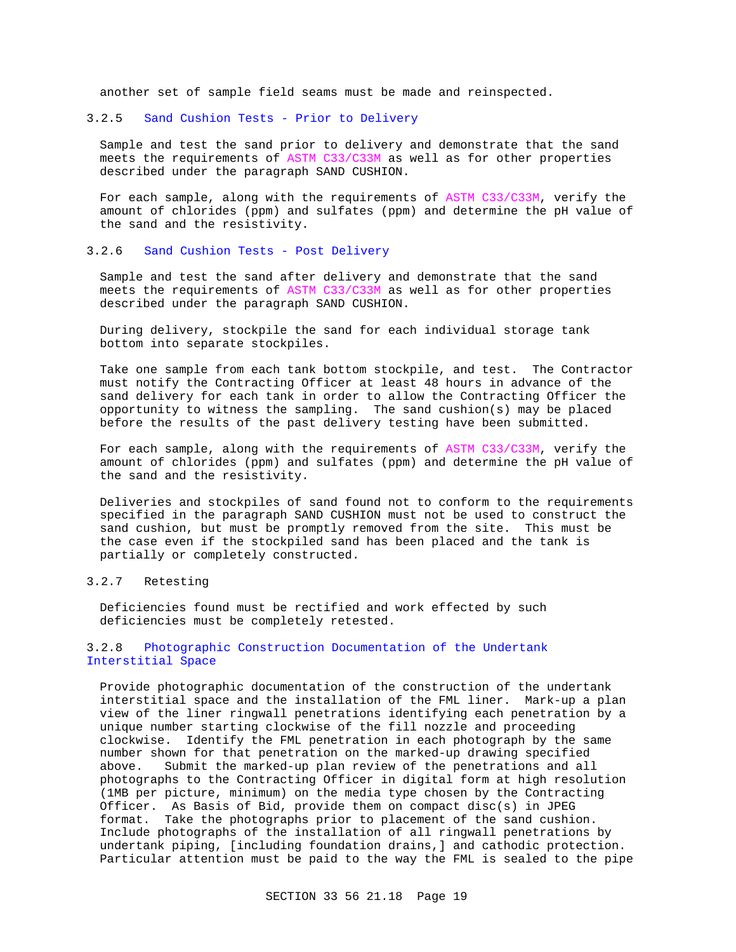another set of sample field seams must be made and reinspected.

# 3.2.5 Sand Cushion Tests - Prior to Delivery

Sample and test the sand prior to delivery and demonstrate that the sand meets the requirements of ASTM C33/C33M as well as for other properties described under the paragraph SAND CUSHION.

For each sample, along with the requirements of ASTM C33/C33M, verify the amount of chlorides (ppm) and sulfates (ppm) and determine the pH value of the sand and the resistivity.

# 3.2.6 Sand Cushion Tests - Post Delivery

Sample and test the sand after delivery and demonstrate that the sand meets the requirements of ASTM C33/C33M as well as for other properties described under the paragraph SAND CUSHION.

During delivery, stockpile the sand for each individual storage tank bottom into separate stockpiles.

Take one sample from each tank bottom stockpile, and test. The Contractor must notify the Contracting Officer at least 48 hours in advance of the sand delivery for each tank in order to allow the Contracting Officer the opportunity to witness the sampling. The sand cushion(s) may be placed before the results of the past delivery testing have been submitted.

For each sample, along with the requirements of ASTM C33/C33M, verify the amount of chlorides (ppm) and sulfates (ppm) and determine the pH value of the sand and the resistivity.

Deliveries and stockpiles of sand found not to conform to the requirements specified in the paragraph SAND CUSHION must not be used to construct the sand cushion, but must be promptly removed from the site. This must be the case even if the stockpiled sand has been placed and the tank is partially or completely constructed.

# 3.2.7 Retesting

Deficiencies found must be rectified and work effected by such deficiencies must be completely retested.

# 3.2.8 Photographic Construction Documentation of the Undertank Interstitial Space

Provide photographic documentation of the construction of the undertank interstitial space and the installation of the FML liner. Mark-up a plan view of the liner ringwall penetrations identifying each penetration by a unique number starting clockwise of the fill nozzle and proceeding clockwise. Identify the FML penetration in each photograph by the same number shown for that penetration on the marked-up drawing specified above. Submit the marked-up plan review of the penetrations and all photographs to the Contracting Officer in digital form at high resolution (1MB per picture, minimum) on the media type chosen by the Contracting Officer. As Basis of Bid, provide them on compact disc(s) in JPEG format. Take the photographs prior to placement of the sand cushion. Include photographs of the installation of all ringwall penetrations by undertank piping, [including foundation drains,] and cathodic protection. Particular attention must be paid to the way the FML is sealed to the pipe